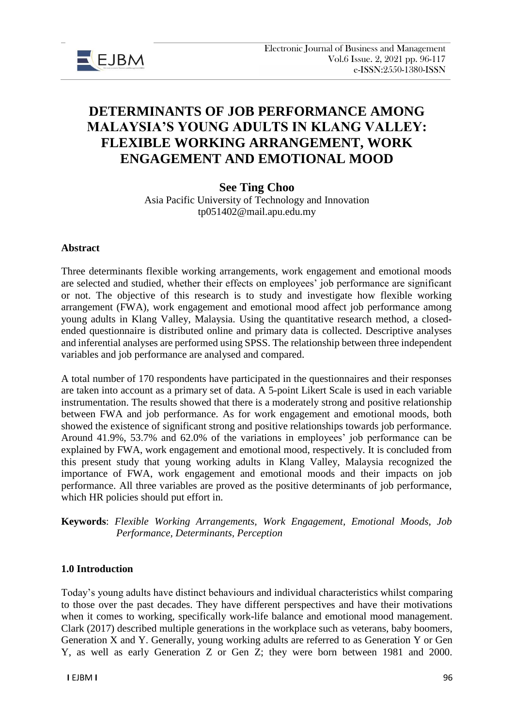

# **DETERMINANTS OF JOB PERFORMANCE AMONG MALAYSIA'S YOUNG ADULTS IN KLANG VALLEY: FLEXIBLE WORKING ARRANGEMENT, WORK ENGAGEMENT AND EMOTIONAL MOOD**

# **See Ting Choo**

Asia Pacific University of Technology and Innovation tp051402@mail.apu.edu.my

#### **Abstract**

Three determinants flexible working arrangements, work engagement and emotional moods are selected and studied, whether their effects on employees' job performance are significant or not. The objective of this research is to study and investigate how flexible working arrangement (FWA), work engagement and emotional mood affect job performance among young adults in Klang Valley, Malaysia. Using the quantitative research method, a closedended questionnaire is distributed online and primary data is collected. Descriptive analyses and inferential analyses are performed using SPSS. The relationship between three independent variables and job performance are analysed and compared.

A total number of 170 respondents have participated in the questionnaires and their responses are taken into account as a primary set of data. A 5-point Likert Scale is used in each variable instrumentation. The results showed that there is a moderately strong and positive relationship between FWA and job performance. As for work engagement and emotional moods, both showed the existence of significant strong and positive relationships towards job performance. Around 41.9%, 53.7% and 62.0% of the variations in employees' job performance can be explained by FWA, work engagement and emotional mood, respectively. It is concluded from this present study that young working adults in Klang Valley, Malaysia recognized the importance of FWA, work engagement and emotional moods and their impacts on job performance. All three variables are proved as the positive determinants of job performance, which HR policies should put effort in.

**Keywords**: *Flexible Working Arrangements, Work Engagement, Emotional Moods, Job Performance, Determinants, Perception*

### **1.0 Introduction**

Today's young adults have distinct behaviours and individual characteristics whilst comparing to those over the past decades. They have different perspectives and have their motivations when it comes to working, specifically work-life balance and emotional mood management. Clark (2017) described multiple generations in the workplace such as veterans, baby boomers, Generation X and Y. Generally, young working adults are referred to as Generation Y or Gen Y, as well as early Generation Z or Gen Z; they were born between 1981 and 2000.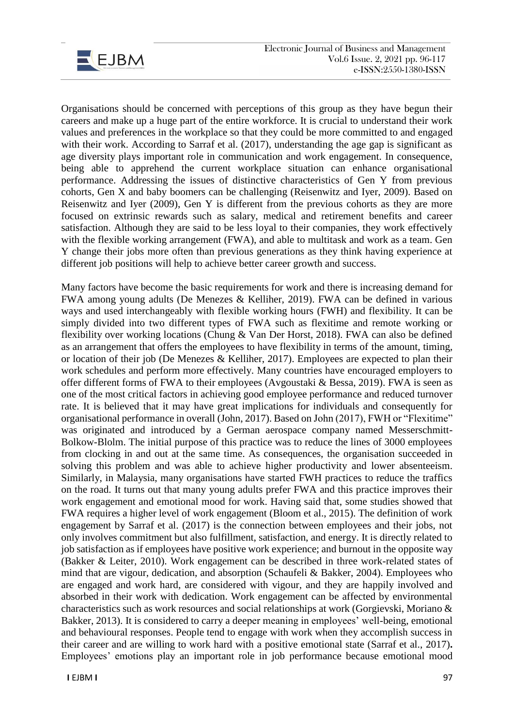

Organisations should be concerned with perceptions of this group as they have begun their careers and make up a huge part of the entire workforce. It is crucial to understand their work values and preferences in the workplace so that they could be more committed to and engaged with their work. According to Sarraf et al. (2017), understanding the age gap is significant as age diversity plays important role in communication and work engagement. In consequence, being able to apprehend the current workplace situation can enhance organisational performance. Addressing the issues of distinctive characteristics of Gen Y from previous cohorts, Gen X and baby boomers can be challenging (Reisenwitz and Iyer, 2009). Based on Reisenwitz and Iyer (2009), Gen Y is different from the previous cohorts as they are more focused on extrinsic rewards such as salary, medical and retirement benefits and career satisfaction. Although they are said to be less loyal to their companies, they work effectively with the flexible working arrangement (FWA), and able to multitask and work as a team. Gen Y change their jobs more often than previous generations as they think having experience at different job positions will help to achieve better career growth and success.

Many factors have become the basic requirements for work and there is increasing demand for FWA among young adults (De Menezes & Kelliher, 2019). FWA can be defined in various ways and used interchangeably with flexible working hours (FWH) and flexibility. It can be simply divided into two different types of FWA such as flexitime and remote working or flexibility over working locations (Chung & Van Der Horst, 2018). FWA can also be defined as an arrangement that offers the employees to have flexibility in terms of the amount, timing, or location of their job (De Menezes & Kelliher, 2017). Employees are expected to plan their work schedules and perform more effectively. Many countries have encouraged employers to offer different forms of FWA to their employees (Avgoustaki & Bessa, 2019). FWA is seen as one of the most critical factors in achieving good employee performance and reduced turnover rate. It is believed that it may have great implications for individuals and consequently for organisational performance in overall (John, 2017). Based on John (2017), FWH or "Flexitime" was originated and introduced by a German aerospace company named Messerschmitt-Bolkow-Blolm. The initial purpose of this practice was to reduce the lines of 3000 employees from clocking in and out at the same time. As consequences, the organisation succeeded in solving this problem and was able to achieve higher productivity and lower absenteeism. Similarly, in Malaysia, many organisations have started FWH practices to reduce the traffics on the road. It turns out that many young adults prefer FWA and this practice improves their work engagement and emotional mood for work. Having said that, some studies showed that FWA requires a higher level of work engagement (Bloom et al., 2015). The definition of work engagement by Sarraf et al. (2017) is the connection between employees and their jobs, not only involves commitment but also fulfillment, satisfaction, and energy. It is directly related to job satisfaction as if employees have positive work experience; and burnout in the opposite way (Bakker & Leiter, 2010). Work engagement can be described in three work-related states of mind that are vigour, dedication, and absorption (Schaufeli & Bakker, 2004). Employees who are engaged and work hard, are considered with vigour, and they are happily involved and absorbed in their work with dedication. Work engagement can be affected by environmental characteristics such as work resources and social relationships at work (Gorgievski, Moriano & Bakker, 2013). It is considered to carry a deeper meaning in employees' well-being, emotional and behavioural responses. People tend to engage with work when they accomplish success in their career and are willing to work hard with a positive emotional state (Sarraf et al., 2017)**.**  Employees' emotions play an important role in job performance because emotional mood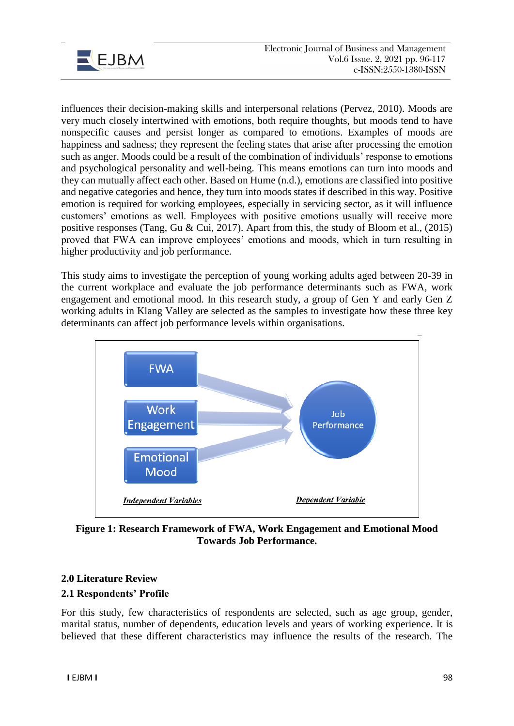

influences their decision-making skills and interpersonal relations (Pervez, 2010). Moods are very much closely intertwined with emotions, both require thoughts, but moods tend to have nonspecific causes and persist longer as compared to emotions. Examples of moods are happiness and sadness; they represent the feeling states that arise after processing the emotion such as anger. Moods could be a result of the combination of individuals' response to emotions and psychological personality and well-being. This means emotions can turn into moods and they can mutually affect each other. Based on Hume (n.d.), emotions are classified into positive and negative categories and hence, they turn into moods states if described in this way. Positive emotion is required for working employees, especially in servicing sector, as it will influence customers' emotions as well. Employees with positive emotions usually will receive more positive responses (Tang, Gu & Cui, 2017). Apart from this, the study of Bloom et al., (2015) proved that FWA can improve employees' emotions and moods, which in turn resulting in higher productivity and job performance.

This study aims to investigate the perception of young working adults aged between 20-39 in the current workplace and evaluate the job performance determinants such as FWA, work engagement and emotional mood. In this research study, a group of Gen Y and early Gen Z working adults in Klang Valley are selected as the samples to investigate how these three key determinants can affect job performance levels within organisations.



**Figure 1: Research Framework of FWA, Work Engagement and Emotional Mood Towards Job Performance.**

# **2.0 Literature Review**

# **2.1 Respondents' Profile**

For this study, few characteristics of respondents are selected, such as age group, gender, marital status, number of dependents, education levels and years of working experience. It is believed that these different characteristics may influence the results of the research. The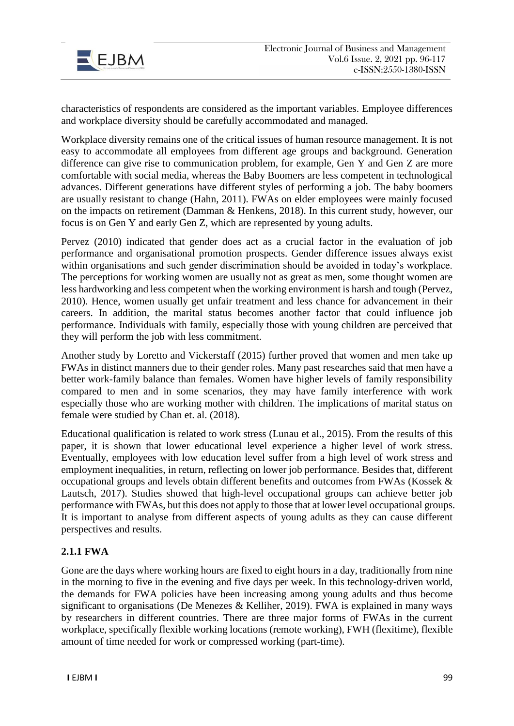

characteristics of respondents are considered as the important variables. Employee differences and workplace diversity should be carefully accommodated and managed.

Workplace diversity remains one of the critical issues of human resource management. It is not easy to accommodate all employees from different age groups and background. Generation difference can give rise to communication problem, for example, Gen Y and Gen Z are more comfortable with social media, whereas the Baby Boomers are less competent in technological advances. Different generations have different styles of performing a job. The baby boomers are usually resistant to change (Hahn, 2011). FWAs on elder employees were mainly focused on the impacts on retirement (Damman & Henkens, 2018). In this current study, however, our focus is on Gen Y and early Gen Z, which are represented by young adults.

Pervez (2010) indicated that gender does act as a crucial factor in the evaluation of job performance and organisational promotion prospects. Gender difference issues always exist within organisations and such gender discrimination should be avoided in today's workplace. The perceptions for working women are usually not as great as men, some thought women are less hardworking and less competent when the working environment is harsh and tough (Pervez, 2010). Hence, women usually get unfair treatment and less chance for advancement in their careers. In addition, the marital status becomes another factor that could influence job performance. Individuals with family, especially those with young children are perceived that they will perform the job with less commitment.

Another study by Loretto and Vickerstaff (2015) further proved that women and men take up FWAs in distinct manners due to their gender roles. Many past researches said that men have a better work-family balance than females. Women have higher levels of family responsibility compared to men and in some scenarios, they may have family interference with work especially those who are working mother with children. The implications of marital status on female were studied by Chan et. al. (2018).

Educational qualification is related to work stress (Lunau et al., 2015). From the results of this paper, it is shown that lower educational level experience a higher level of work stress. Eventually, employees with low education level suffer from a high level of work stress and employment inequalities, in return, reflecting on lower job performance. Besides that, different occupational groups and levels obtain different benefits and outcomes from FWAs (Kossek & Lautsch, 2017). Studies showed that high-level occupational groups can achieve better job performance with FWAs, but this does not apply to those that at lower level occupational groups. It is important to analyse from different aspects of young adults as they can cause different perspectives and results.

### **2.1.1 FWA**

Gone are the days where working hours are fixed to eight hours in a day, traditionally from nine in the morning to five in the evening and five days per week. In this technology-driven world, the demands for FWA policies have been increasing among young adults and thus become significant to organisations (De Menezes & Kelliher, 2019). FWA is explained in many ways by researchers in different countries. There are three major forms of FWAs in the current workplace, specifically flexible working locations (remote working), FWH (flexitime), flexible amount of time needed for work or compressed working (part-time).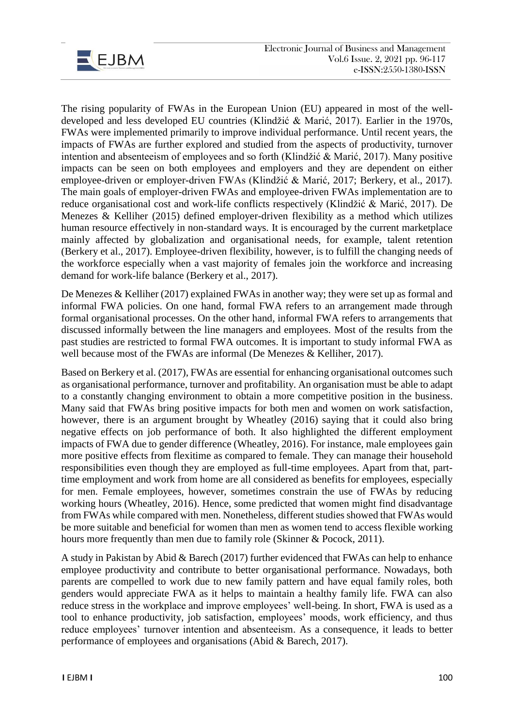

The rising popularity of FWAs in the European Union (EU) appeared in most of the welldeveloped and less developed EU countries (Klindžić & Marić, 2017). Earlier in the 1970s, FWAs were implemented primarily to improve individual performance. Until recent years, the impacts of FWAs are further explored and studied from the aspects of productivity, turnover intention and absenteeism of employees and so forth (Klindžić & Marić, 2017). Many positive impacts can be seen on both employees and employers and they are dependent on either employee-driven or employer-driven FWAs (Klindžić & Marić, 2017; Berkery, et al., 2017). The main goals of employer-driven FWAs and employee-driven FWAs implementation are to reduce organisational cost and work-life conflicts respectively (Klindžić & Marić, 2017). De Menezes & Kelliher (2015) defined employer-driven flexibility as a method which utilizes human resource effectively in non-standard ways. It is encouraged by the current marketplace mainly affected by globalization and organisational needs, for example, talent retention (Berkery et al., 2017). Employee-driven flexibility, however, is to fulfill the changing needs of the workforce especially when a vast majority of females join the workforce and increasing demand for work-life balance (Berkery et al., 2017).

De Menezes & Kelliher (2017) explained FWAs in another way; they were set up as formal and informal FWA policies. On one hand, formal FWA refers to an arrangement made through formal organisational processes. On the other hand, informal FWA refers to arrangements that discussed informally between the line managers and employees. Most of the results from the past studies are restricted to formal FWA outcomes. It is important to study informal FWA as well because most of the FWAs are informal (De Menezes & Kelliher, 2017).

Based on Berkery et al. (2017), FWAs are essential for enhancing organisational outcomes such as organisational performance, turnover and profitability. An organisation must be able to adapt to a constantly changing environment to obtain a more competitive position in the business. Many said that FWAs bring positive impacts for both men and women on work satisfaction, however, there is an argument brought by Wheatley (2016) saying that it could also bring negative effects on job performance of both. It also highlighted the different employment impacts of FWA due to gender difference (Wheatley, 2016). For instance, male employees gain more positive effects from flexitime as compared to female. They can manage their household responsibilities even though they are employed as full-time employees. Apart from that, parttime employment and work from home are all considered as benefits for employees, especially for men. Female employees, however, sometimes constrain the use of FWAs by reducing working hours (Wheatley, 2016). Hence, some predicted that women might find disadvantage from FWAs while compared with men. Nonetheless, different studies showed that FWAs would be more suitable and beneficial for women than men as women tend to access flexible working hours more frequently than men due to family role (Skinner & Pocock, 2011).

A study in Pakistan by Abid & Barech (2017) further evidenced that FWAs can help to enhance employee productivity and contribute to better organisational performance. Nowadays, both parents are compelled to work due to new family pattern and have equal family roles, both genders would appreciate FWA as it helps to maintain a healthy family life. FWA can also reduce stress in the workplace and improve employees' well-being. In short, FWA is used as a tool to enhance productivity, job satisfaction, employees' moods, work efficiency, and thus reduce employees' turnover intention and absenteeism. As a consequence, it leads to better performance of employees and organisations (Abid & Barech, 2017).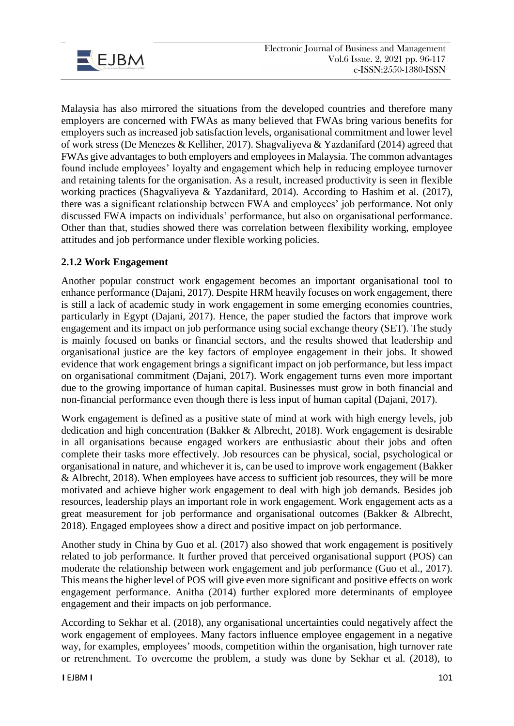

Malaysia has also mirrored the situations from the developed countries and therefore many employers are concerned with FWAs as many believed that FWAs bring various benefits for employers such as increased job satisfaction levels, organisational commitment and lower level of work stress (De Menezes & Kelliher, 2017). Shagvaliyeva & Yazdanifard (2014) agreed that FWAs give advantages to both employers and employees in Malaysia. The common advantages found include employees' loyalty and engagement which help in reducing employee turnover and retaining talents for the organisation. As a result, increased productivity is seen in flexible working practices (Shagvaliyeva & Yazdanifard, 2014). According to Hashim et al. (2017), there was a significant relationship between FWA and employees' job performance. Not only discussed FWA impacts on individuals' performance, but also on organisational performance. Other than that, studies showed there was correlation between flexibility working, employee attitudes and job performance under flexible working policies.

# **2.1.2 Work Engagement**

Another popular construct work engagement becomes an important organisational tool to enhance performance (Dajani, 2017). Despite HRM heavily focuses on work engagement, there is still a lack of academic study in work engagement in some emerging economies countries, particularly in Egypt (Dajani, 2017). Hence, the paper studied the factors that improve work engagement and its impact on job performance using social exchange theory (SET). The study is mainly focused on banks or financial sectors, and the results showed that leadership and organisational justice are the key factors of employee engagement in their jobs. It showed evidence that work engagement brings a significant impact on job performance, but less impact on organisational commitment (Dajani, 2017). Work engagement turns even more important due to the growing importance of human capital. Businesses must grow in both financial and non-financial performance even though there is less input of human capital (Dajani, 2017).

Work engagement is defined as a positive state of mind at work with high energy levels, job dedication and high concentration (Bakker & Albrecht, 2018). Work engagement is desirable in all organisations because engaged workers are enthusiastic about their jobs and often complete their tasks more effectively. Job resources can be physical, social, psychological or organisational in nature, and whichever it is, can be used to improve work engagement (Bakker & Albrecht, 2018). When employees have access to sufficient job resources, they will be more motivated and achieve higher work engagement to deal with high job demands. Besides job resources, leadership plays an important role in work engagement. Work engagement acts as a great measurement for job performance and organisational outcomes (Bakker & Albrecht, 2018). Engaged employees show a direct and positive impact on job performance.

Another study in China by Guo et al. (2017) also showed that work engagement is positively related to job performance. It further proved that perceived organisational support (POS) can moderate the relationship between work engagement and job performance (Guo et al., 2017). This means the higher level of POS will give even more significant and positive effects on work engagement performance. Anitha (2014) further explored more determinants of employee engagement and their impacts on job performance.

According to Sekhar et al. (2018), any organisational uncertainties could negatively affect the work engagement of employees. Many factors influence employee engagement in a negative way, for examples, employees' moods, competition within the organisation, high turnover rate or retrenchment. To overcome the problem, a study was done by Sekhar et al. (2018), to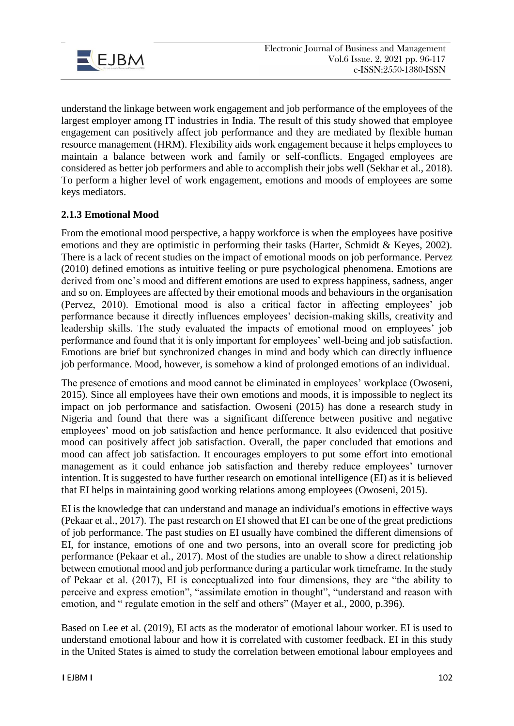

understand the linkage between work engagement and job performance of the employees of the largest employer among IT industries in India. The result of this study showed that employee engagement can positively affect job performance and they are mediated by flexible human resource management (HRM). Flexibility aids work engagement because it helps employees to maintain a balance between work and family or self-conflicts. Engaged employees are considered as better job performers and able to accomplish their jobs well (Sekhar et al., 2018). To perform a higher level of work engagement, emotions and moods of employees are some keys mediators.

# **2.1.3 Emotional Mood**

From the emotional mood perspective, a happy workforce is when the employees have positive emotions and they are optimistic in performing their tasks (Harter, Schmidt & Keyes, 2002). There is a lack of recent studies on the impact of emotional moods on job performance. Pervez (2010) defined emotions as intuitive feeling or pure psychological phenomena. Emotions are derived from one's mood and different emotions are used to express happiness, sadness, anger and so on. Employees are affected by their emotional moods and behaviours in the organisation (Pervez, 2010). Emotional mood is also a critical factor in affecting employees' job performance because it directly influences employees' decision-making skills, creativity and leadership skills. The study evaluated the impacts of emotional mood on employees' job performance and found that it is only important for employees' well-being and job satisfaction. Emotions are brief but synchronized changes in mind and body which can directly influence job performance. Mood, however, is somehow a kind of prolonged emotions of an individual.

The presence of emotions and mood cannot be eliminated in employees' workplace (Owoseni, 2015). Since all employees have their own emotions and moods, it is impossible to neglect its impact on job performance and satisfaction. Owoseni (2015) has done a research study in Nigeria and found that there was a significant difference between positive and negative employees' mood on job satisfaction and hence performance. It also evidenced that positive mood can positively affect job satisfaction. Overall, the paper concluded that emotions and mood can affect job satisfaction. It encourages employers to put some effort into emotional management as it could enhance job satisfaction and thereby reduce employees' turnover intention. It is suggested to have further research on emotional intelligence (EI) as it is believed that EI helps in maintaining good working relations among employees (Owoseni, 2015).

EI is the knowledge that can understand and manage an individual's emotions in effective ways (Pekaar et al., 2017). The past research on EI showed that EI can be one of the great predictions of job performance. The past studies on EI usually have combined the different dimensions of EI, for instance, emotions of one and two persons, into an overall score for predicting job performance (Pekaar et al., 2017). Most of the studies are unable to show a direct relationship between emotional mood and job performance during a particular work timeframe. In the study of Pekaar et al. (2017), EI is conceptualized into four dimensions, they are "the ability to perceive and express emotion", "assimilate emotion in thought", "understand and reason with emotion, and " regulate emotion in the self and others" (Mayer et al., 2000, p.396).

Based on Lee et al. (2019), EI acts as the moderator of emotional labour worker. EI is used to understand emotional labour and how it is correlated with customer feedback. EI in this study in the United States is aimed to study the correlation between emotional labour employees and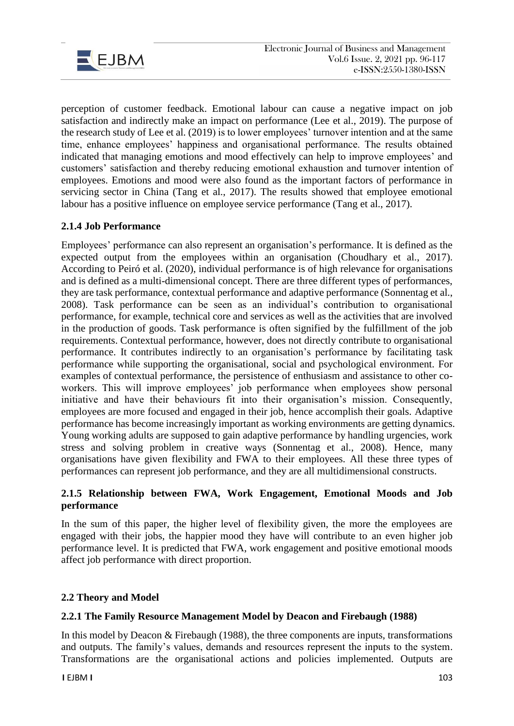

perception of customer feedback. Emotional labour can cause a negative impact on job satisfaction and indirectly make an impact on performance (Lee et al., 2019). The purpose of the research study of Lee et al. (2019) is to lower employees' turnover intention and at the same time, enhance employees' happiness and organisational performance. The results obtained indicated that managing emotions and mood effectively can help to improve employees' and customers' satisfaction and thereby reducing emotional exhaustion and turnover intention of employees. Emotions and mood were also found as the important factors of performance in servicing sector in China (Tang et al., 2017). The results showed that employee emotional labour has a positive influence on employee service performance (Tang et al., 2017).

### **2.1.4 Job Performance**

Employees' performance can also represent an organisation's performance. It is defined as the expected output from the employees within an organisation (Choudhary et al., 2017). According to Peiró et al. (2020), individual performance is of high relevance for organisations and is defined as a multi-dimensional concept. There are three different types of performances, they are task performance, contextual performance and adaptive performance (Sonnentag et al., 2008). Task performance can be seen as an individual's contribution to organisational performance, for example, technical core and services as well as the activities that are involved in the production of goods. Task performance is often signified by the fulfillment of the job requirements. Contextual performance, however, does not directly contribute to organisational performance. It contributes indirectly to an organisation's performance by facilitating task performance while supporting the organisational, social and psychological environment. For examples of contextual performance, the persistence of enthusiasm and assistance to other coworkers. This will improve employees' job performance when employees show personal initiative and have their behaviours fit into their organisation's mission. Consequently, employees are more focused and engaged in their job, hence accomplish their goals. Adaptive performance has become increasingly important as working environments are getting dynamics. Young working adults are supposed to gain adaptive performance by handling urgencies, work stress and solving problem in creative ways (Sonnentag et al., 2008). Hence, many organisations have given flexibility and FWA to their employees. All these three types of performances can represent job performance, and they are all multidimensional constructs.

### **2.1.5 Relationship between FWA, Work Engagement, Emotional Moods and Job performance**

In the sum of this paper, the higher level of flexibility given, the more the employees are engaged with their jobs, the happier mood they have will contribute to an even higher job performance level. It is predicted that FWA, work engagement and positive emotional moods affect job performance with direct proportion.

### **2.2 Theory and Model**

### **2.2.1 The Family Resource Management Model by Deacon and Firebaugh (1988)**

In this model by Deacon  $&$  Firebaugh (1988), the three components are inputs, transformations and outputs. The family's values, demands and resources represent the inputs to the system. Transformations are the organisational actions and policies implemented. Outputs are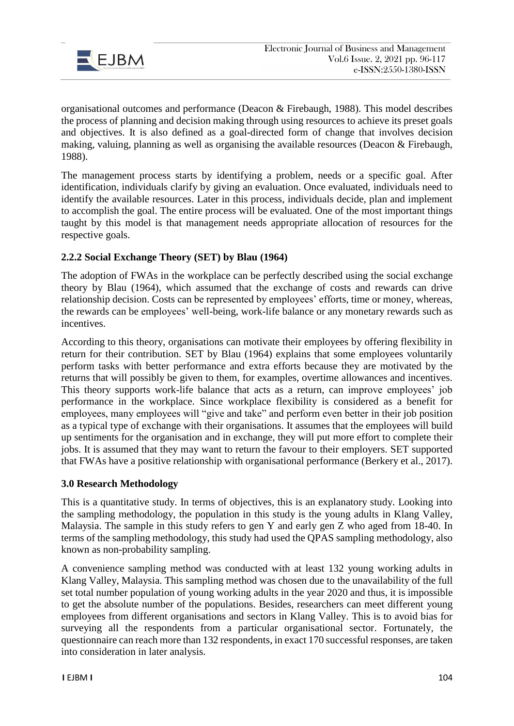

organisational outcomes and performance (Deacon & Firebaugh, 1988). This model describes the process of planning and decision making through using resources to achieve its preset goals and objectives. It is also defined as a goal-directed form of change that involves decision making, valuing, planning as well as organising the available resources (Deacon & Firebaugh, 1988).

The management process starts by identifying a problem, needs or a specific goal. After identification, individuals clarify by giving an evaluation. Once evaluated, individuals need to identify the available resources. Later in this process, individuals decide, plan and implement to accomplish the goal. The entire process will be evaluated. One of the most important things taught by this model is that management needs appropriate allocation of resources for the respective goals.

# **2.2.2 Social Exchange Theory (SET) by Blau (1964)**

The adoption of FWAs in the workplace can be perfectly described using the social exchange theory by Blau (1964), which assumed that the exchange of costs and rewards can drive relationship decision. Costs can be represented by employees' efforts, time or money, whereas, the rewards can be employees' well-being, work-life balance or any monetary rewards such as incentives.

According to this theory, organisations can motivate their employees by offering flexibility in return for their contribution. SET by Blau (1964) explains that some employees voluntarily perform tasks with better performance and extra efforts because they are motivated by the returns that will possibly be given to them, for examples, overtime allowances and incentives. This theory supports work-life balance that acts as a return, can improve employees' job performance in the workplace. Since workplace flexibility is considered as a benefit for employees, many employees will "give and take" and perform even better in their job position as a typical type of exchange with their organisations. It assumes that the employees will build up sentiments for the organisation and in exchange, they will put more effort to complete their jobs. It is assumed that they may want to return the favour to their employers. SET supported that FWAs have a positive relationship with organisational performance (Berkery et al., 2017).

### **3.0 Research Methodology**

This is a quantitative study. In terms of objectives, this is an explanatory study. Looking into the sampling methodology, the population in this study is the young adults in Klang Valley, Malaysia. The sample in this study refers to gen Y and early gen Z who aged from 18-40. In terms of the sampling methodology, this study had used the QPAS sampling methodology, also known as non-probability sampling.

A convenience sampling method was conducted with at least 132 young working adults in Klang Valley, Malaysia. This sampling method was chosen due to the unavailability of the full set total number population of young working adults in the year 2020 and thus, it is impossible to get the absolute number of the populations. Besides, researchers can meet different young employees from different organisations and sectors in Klang Valley. This is to avoid bias for surveying all the respondents from a particular organisational sector. Fortunately, the questionnaire can reach more than 132 respondents, in exact 170 successful responses, are taken into consideration in later analysis.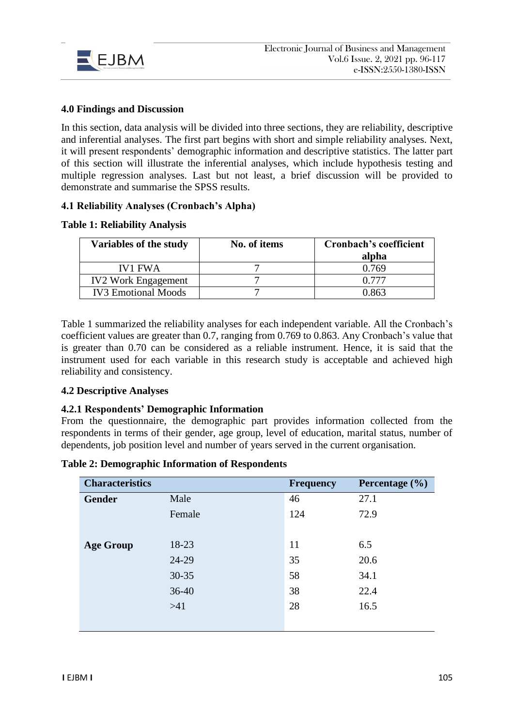

### **4.0 Findings and Discussion**

In this section, data analysis will be divided into three sections, they are reliability, descriptive and inferential analyses. The first part begins with short and simple reliability analyses. Next, it will present respondents' demographic information and descriptive statistics. The latter part of this section will illustrate the inferential analyses, which include hypothesis testing and multiple regression analyses. Last but not least, a brief discussion will be provided to demonstrate and summarise the SPSS results.

### **4.1 Reliability Analyses (Cronbach's Alpha)**

### **Table 1: Reliability Analysis**

| Variables of the study     | No. of items | <b>Cronbach's coefficient</b><br>alpha |
|----------------------------|--------------|----------------------------------------|
| <b>IV1 FWA</b>             |              | 0.769                                  |
| <b>IV2 Work Engagement</b> |              | 0.777                                  |
| <b>IV3</b> Emotional Moods |              | በ ጸ63                                  |

Table 1 summarized the reliability analyses for each independent variable. All the Cronbach's coefficient values are greater than 0.7, ranging from 0.769 to 0.863. Any Cronbach's value that is greater than 0.70 can be considered as a reliable instrument. Hence, it is said that the instrument used for each variable in this research study is acceptable and achieved high reliability and consistency.

### **4.2 Descriptive Analyses**

### **4.2.1 Respondents' Demographic Information**

From the questionnaire, the demographic part provides information collected from the respondents in terms of their gender, age group, level of education, marital status, number of dependents, job position level and number of years served in the current organisation.

| <b>Table 2: Demographic Information of Respondents</b> |  |  |
|--------------------------------------------------------|--|--|
|--------------------------------------------------------|--|--|

| <b>Characteristics</b> |           | <b>Frequency</b> | Percentage $(\% )$ |
|------------------------|-----------|------------------|--------------------|
| <b>Gender</b>          | Male      | 46               | 27.1               |
|                        | Female    | 124              | 72.9               |
|                        |           |                  |                    |
| <b>Age Group</b>       | 18-23     | 11               | 6.5                |
|                        | 24-29     | 35               | 20.6               |
|                        | $30 - 35$ | 58               | 34.1               |
|                        | $36-40$   | 38               | 22.4               |
|                        | $>41$     | 28               | 16.5               |
|                        |           |                  |                    |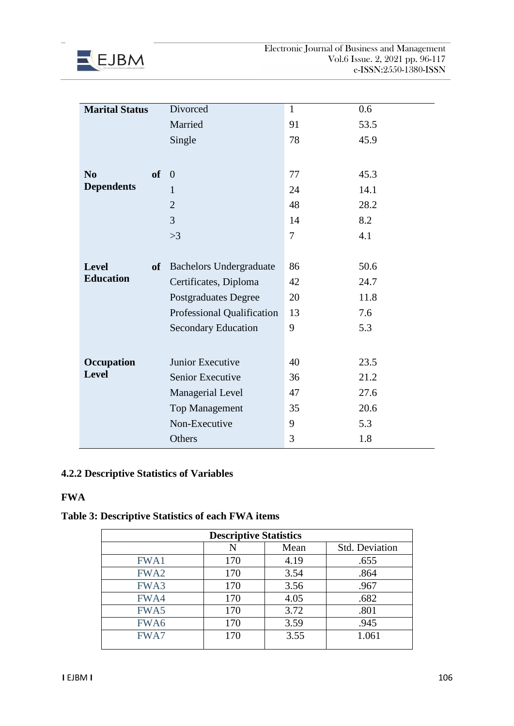

| <b>Marital Status</b> |           | Divorced                       | $\mathbf{1}$   | 0.6  |
|-----------------------|-----------|--------------------------------|----------------|------|
|                       |           | Married                        | 91             | 53.5 |
|                       |           | Single                         | 78             | 45.9 |
|                       |           |                                |                |      |
| N <sub>0</sub>        | of        | $\overline{0}$                 | 77             | 45.3 |
| <b>Dependents</b>     |           | 1                              | 24             | 14.1 |
|                       |           | $\overline{2}$                 | 48             | 28.2 |
|                       |           | 3                              | 14             | 8.2  |
|                       |           | >3                             | $\overline{7}$ | 4.1  |
|                       |           |                                |                |      |
| <b>Level</b>          | <b>of</b> | <b>Bachelors Undergraduate</b> | 86             | 50.6 |
| <b>Education</b>      |           | Certificates, Diploma          | 42             | 24.7 |
|                       |           | <b>Postgraduates Degree</b>    | 20             | 11.8 |
|                       |           | Professional Qualification     | 13             | 7.6  |
|                       |           | <b>Secondary Education</b>     | 9              | 5.3  |
|                       |           |                                |                |      |
| Occupation            |           | Junior Executive               | 40             | 23.5 |
| <b>Level</b>          |           | Senior Executive               | 36             | 21.2 |
|                       |           | Managerial Level               | 47             | 27.6 |
|                       |           | <b>Top Management</b>          | 35             | 20.6 |
|                       |           | Non-Executive                  | 9              | 5.3  |
|                       |           | Others                         | 3              | 1.8  |
|                       |           |                                |                |      |

# **4.2.2 Descriptive Statistics of Variables**

# **FWA**

# **Table 3: Descriptive Statistics of each FWA items**

| <b>Descriptive Statistics</b> |     |      |                       |  |
|-------------------------------|-----|------|-----------------------|--|
|                               | N   | Mean | <b>Std. Deviation</b> |  |
| <b>FWA1</b>                   | 170 | 4.19 | .655                  |  |
| FWA <sub>2</sub>              | 170 | 3.54 | .864                  |  |
| FWA3                          | 170 | 3.56 | .967                  |  |
| FWA4                          | 170 | 4.05 | .682                  |  |
| FWA5                          | 170 | 3.72 | .801                  |  |
| FWA6                          | 170 | 3.59 | .945                  |  |
| FWA7                          | 170 | 3.55 | 1.061                 |  |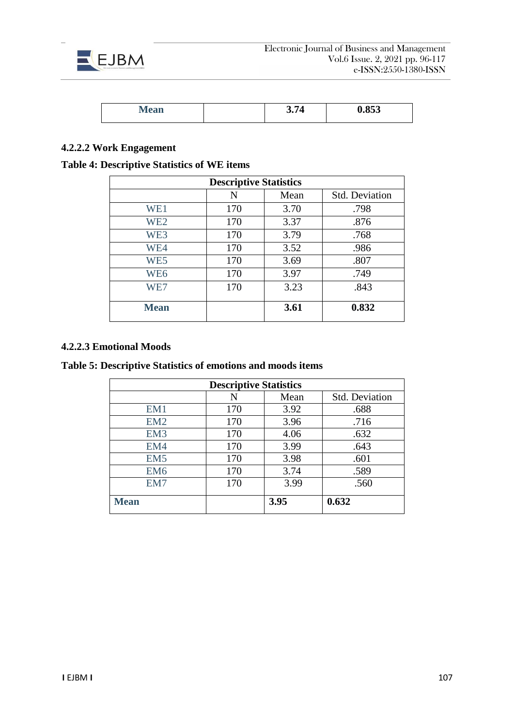

| 0.011<br>глеан | $\boldsymbol{\mathsf v} \boldsymbol{\cdot}$ | 0.853 |
|----------------|---------------------------------------------|-------|

# **4.2.2.2 Work Engagement**

# **Table 4: Descriptive Statistics of WE items**

| <b>Descriptive Statistics</b> |     |      |                       |  |  |
|-------------------------------|-----|------|-----------------------|--|--|
|                               | N   | Mean | <b>Std. Deviation</b> |  |  |
| WE1                           | 170 | 3.70 | .798                  |  |  |
| WE <sub>2</sub>               | 170 | 3.37 | .876                  |  |  |
| WE3                           | 170 | 3.79 | .768                  |  |  |
| WE4                           | 170 | 3.52 | .986                  |  |  |
| WE5                           | 170 | 3.69 | .807                  |  |  |
| WE <sub>6</sub>               | 170 | 3.97 | .749                  |  |  |
| WE7                           | 170 | 3.23 | .843                  |  |  |
| <b>Mean</b>                   |     | 3.61 | 0.832                 |  |  |

### **4.2.2.3 Emotional Moods**

**Table 5: Descriptive Statistics of emotions and moods items**

| <b>Descriptive Statistics</b> |     |      |                       |  |  |
|-------------------------------|-----|------|-----------------------|--|--|
|                               | N   | Mean | <b>Std. Deviation</b> |  |  |
| EM1                           | 170 | 3.92 | .688                  |  |  |
| EM2                           | 170 | 3.96 | .716                  |  |  |
| EM <sub>3</sub>               | 170 | 4.06 | .632                  |  |  |
| EM4                           | 170 | 3.99 | .643                  |  |  |
| EM <sub>5</sub>               | 170 | 3.98 | .601                  |  |  |
| EM <sub>6</sub>               | 170 | 3.74 | .589                  |  |  |
| EM7                           | 170 | 3.99 | .560                  |  |  |
| <b>Mean</b>                   |     | 3.95 | 0.632                 |  |  |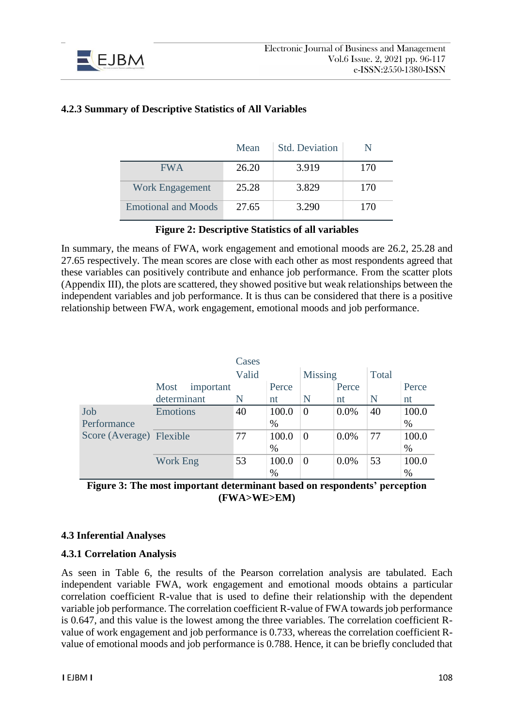

|                            | Mean  | <b>Std. Deviation</b> |     |
|----------------------------|-------|-----------------------|-----|
| <b>FWA</b>                 | 26.20 | 3.919                 | 170 |
| Work Engagement            | 25.28 | 3.829                 | 170 |
| <b>Emotional and Moods</b> | 27.65 | 3.290                 | 170 |

# **4.2.3 Summary of Descriptive Statistics of All Variables**

### **Figure 2: Descriptive Statistics of all variables**

In summary, the means of FWA, work engagement and emotional moods are 26.2, 25.28 and 27.65 respectively. The mean scores are close with each other as most respondents agreed that these variables can positively contribute and enhance job performance. From the scatter plots (Appendix III), the plots are scattered, they showed positive but weak relationships between the independent variables and job performance. It is thus can be considered that there is a positive relationship between FWA, work engagement, emotional moods and job performance.

|                          |                   | Cases |       |                |         |       |       |
|--------------------------|-------------------|-------|-------|----------------|---------|-------|-------|
|                          |                   | Valid |       | <b>Missing</b> |         | Total |       |
|                          | Most<br>important |       | Perce |                | Perce   |       | Perce |
|                          | determinant       | N     | nt    | N              | nt      | N     | nt    |
| Job                      | <b>Emotions</b>   | 40    | 100.0 | $\Omega$       | $0.0\%$ | 40    | 100.0 |
| Performance              |                   |       | $\%$  |                |         |       | $\%$  |
| Score (Average) Flexible |                   | 77    | 100.0 | $\overline{0}$ | $0.0\%$ | 77    | 100.0 |
|                          |                   |       | $\%$  |                |         |       | %     |
|                          | <b>Work Eng</b>   | 53    | 100.0 | $\overline{0}$ | $0.0\%$ | 53    | 100.0 |
|                          |                   |       | $\%$  |                |         |       | %     |

**Figure 3: The most important determinant based on respondents' perception (FWA>WE>EM)**

### **4.3 Inferential Analyses**

#### **4.3.1 Correlation Analysis**

As seen in Table 6, the results of the Pearson correlation analysis are tabulated. Each independent variable FWA, work engagement and emotional moods obtains a particular correlation coefficient R-value that is used to define their relationship with the dependent variable job performance. The correlation coefficient R-value of FWA towards job performance is 0.647, and this value is the lowest among the three variables. The correlation coefficient Rvalue of work engagement and job performance is 0.733, whereas the correlation coefficient Rvalue of emotional moods and job performance is 0.788. Hence, it can be briefly concluded that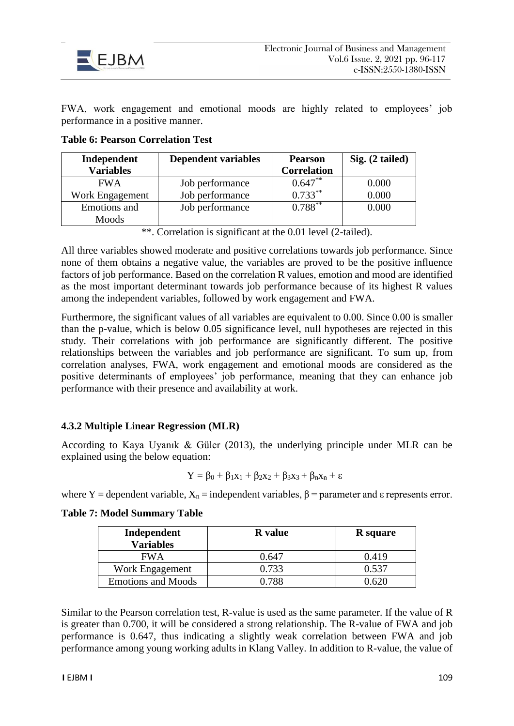

FWA, work engagement and emotional moods are highly related to employees' job performance in a positive manner.

| Independent      | <b>Dependent variables</b> | <b>Pearson</b>          | Sig. (2 tailed) |
|------------------|----------------------------|-------------------------|-----------------|
| <b>Variables</b> |                            | <b>Correlation</b>      |                 |
| <b>FWA</b>       | Job performance            | $0.647**$               | 0.000           |
| Work Engagement  | Job performance            | $\overline{0.733}^{**}$ | 0.000           |
| Emotions and     | Job performance            | $0.788***$              | 0.000           |
| Moods            |                            |                         |                 |

### **Table 6: Pearson Correlation Test**

\*\*. Correlation is significant at the 0.01 level (2-tailed).

All three variables showed moderate and positive correlations towards job performance. Since none of them obtains a negative value, the variables are proved to be the positive influence factors of job performance. Based on the correlation R values, emotion and mood are identified as the most important determinant towards job performance because of its highest R values among the independent variables, followed by work engagement and FWA.

Furthermore, the significant values of all variables are equivalent to 0.00. Since 0.00 is smaller than the p-value, which is below 0.05 significance level, null hypotheses are rejected in this study. Their correlations with job performance are significantly different. The positive relationships between the variables and job performance are significant. To sum up, from correlation analyses, FWA, work engagement and emotional moods are considered as the positive determinants of employees' job performance, meaning that they can enhance job performance with their presence and availability at work.

### **4.3.2 Multiple Linear Regression (MLR)**

According to Kaya Uyanık & Güler (2013), the underlying principle under MLR can be explained using the below equation:

$$
Y=\beta_0+\beta_1x_1+\beta_2x_2+\beta_3x_3+\beta_nx_n+\epsilon
$$

where Y = dependent variable,  $X_n$  = independent variables,  $\beta$  = parameter and  $\varepsilon$  represents error.

|  | <b>Table 7: Model Summary Table</b> |  |
|--|-------------------------------------|--|
|  |                                     |  |

| Independent<br><b>Variables</b> | <b>R</b> value | <b>R</b> square |
|---------------------------------|----------------|-----------------|
| <b>FWA</b>                      | 0.647          | 0.419           |
| Work Engagement                 | 0.733          | 0.537           |
| <b>Emotions and Moods</b>       | 0.788          | በ 620           |

Similar to the Pearson correlation test, R-value is used as the same parameter. If the value of R is greater than 0.700, it will be considered a strong relationship. The R-value of FWA and job performance is 0.647, thus indicating a slightly weak correlation between FWA and job performance among young working adults in Klang Valley. In addition to R-value, the value of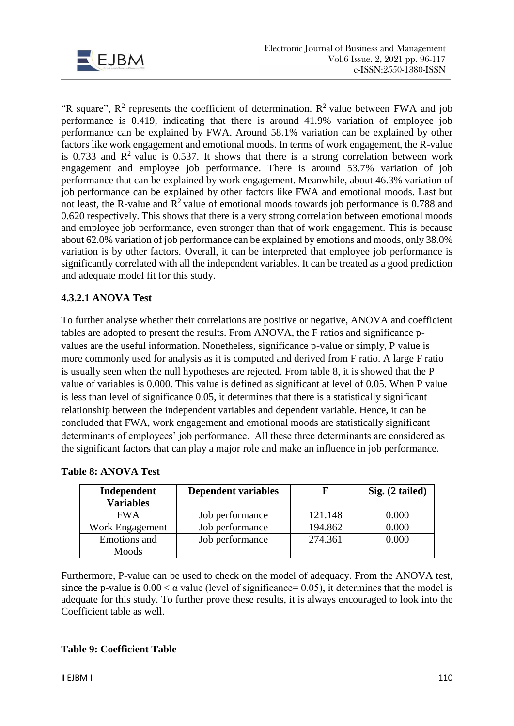

"R square",  $R^2$  represents the coefficient of determination.  $R^2$  value between FWA and job performance is 0.419, indicating that there is around 41.9% variation of employee job performance can be explained by FWA. Around 58.1% variation can be explained by other factors like work engagement and emotional moods. In terms of work engagement, the R-value is 0.733 and  $\mathbb{R}^2$  value is 0.537. It shows that there is a strong correlation between work engagement and employee job performance. There is around 53.7% variation of job performance that can be explained by work engagement. Meanwhile, about 46.3% variation of job performance can be explained by other factors like FWA and emotional moods. Last but not least, the R-value and  $\mathbb{R}^2$  value of emotional moods towards job performance is 0.788 and 0.620 respectively. This shows that there is a very strong correlation between emotional moods and employee job performance, even stronger than that of work engagement. This is because about 62.0% variation of job performance can be explained by emotions and moods, only 38.0% variation is by other factors. Overall, it can be interpreted that employee job performance is significantly correlated with all the independent variables. It can be treated as a good prediction and adequate model fit for this study.

# **4.3.2.1 ANOVA Test**

To further analyse whether their correlations are positive or negative, ANOVA and coefficient tables are adopted to present the results. From ANOVA, the F ratios and significance pvalues are the useful information. Nonetheless, significance p-value or simply, P value is more commonly used for analysis as it is computed and derived from F ratio. A large F ratio is usually seen when the null hypotheses are rejected. From table 8, it is showed that the P value of variables is 0.000. This value is defined as significant at level of 0.05. When P value is less than level of significance 0.05, it determines that there is a statistically significant relationship between the independent variables and dependent variable. Hence, it can be concluded that FWA, work engagement and emotional moods are statistically significant determinants of employees' job performance. All these three determinants are considered as the significant factors that can play a major role and make an influence in job performance.

| Independent<br><b>Variables</b> | <b>Dependent variables</b> |         | Sig. (2 tailed) |
|---------------------------------|----------------------------|---------|-----------------|
| <b>FWA</b>                      | Job performance            | 121.148 | 0.000           |
| Work Engagement                 | Job performance            | 194.862 | 0.000           |
| Emotions and                    | Job performance            | 274.361 | 0.000           |
| Moods                           |                            |         |                 |

|  | <b>Table 8: ANOVA Test</b> |  |
|--|----------------------------|--|
|--|----------------------------|--|

Furthermore, P-value can be used to check on the model of adequacy. From the ANOVA test, since the p-value is  $0.00 < \alpha$  value (level of significance= 0.05), it determines that the model is adequate for this study. To further prove these results, it is always encouraged to look into the Coefficient table as well.

### **Table 9: Coefficient Table**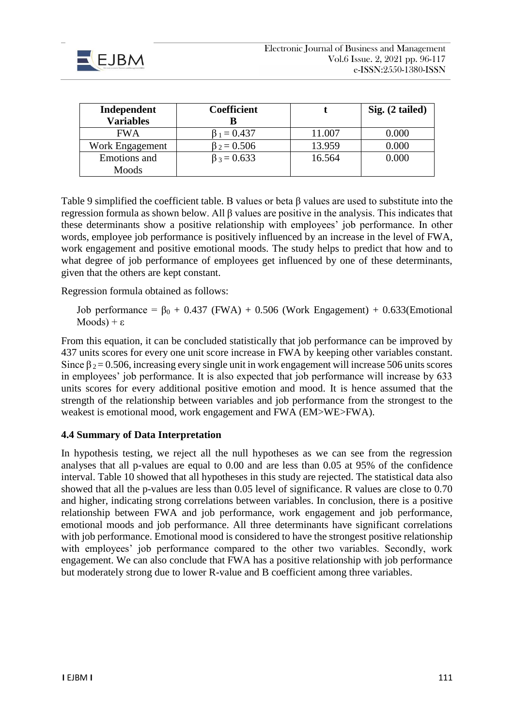

| Independent<br><b>Variables</b> | <b>Coefficient</b><br>В |        | Sig. (2 tailed) |
|---------------------------------|-------------------------|--------|-----------------|
| <b>FWA</b>                      | $\beta_1 = 0.437$       | 11.007 | 0.000           |
| Work Engagement                 | $\beta_2 = 0.506$       | 13.959 | $0.000\,$       |
| Emotions and                    | $\beta_3 = 0.633$       | 16.564 | 0.000           |
| Moods                           |                         |        |                 |

Table 9 simplified the coefficient table. B values or beta  $\beta$  values are used to substitute into the regression formula as shown below. All β values are positive in the analysis. This indicates that these determinants show a positive relationship with employees' job performance. In other words, employee job performance is positively influenced by an increase in the level of FWA, work engagement and positive emotional moods. The study helps to predict that how and to what degree of job performance of employees get influenced by one of these determinants, given that the others are kept constant.

Regression formula obtained as follows:

Job performance =  $\beta_0$  + 0.437 (FWA) + 0.506 (Work Engagement) + 0.633(Emotional  $Mods$ ) + ε

From this equation, it can be concluded statistically that job performance can be improved by 437 units scores for every one unit score increase in FWA by keeping other variables constant. Since  $\beta_2 = 0.506$ , increasing every single unit in work engagement will increase 506 units scores in employees' job performance. It is also expected that job performance will increase by 633 units scores for every additional positive emotion and mood. It is hence assumed that the strength of the relationship between variables and job performance from the strongest to the weakest is emotional mood, work engagement and FWA (EM>WE>FWA).

### **4.4 Summary of Data Interpretation**

In hypothesis testing, we reject all the null hypotheses as we can see from the regression analyses that all p-values are equal to 0.00 and are less than 0.05 at 95% of the confidence interval. Table 10 showed that all hypotheses in this study are rejected. The statistical data also showed that all the p-values are less than 0.05 level of significance. R values are close to 0.70 and higher, indicating strong correlations between variables. In conclusion, there is a positive relationship between FWA and job performance, work engagement and job performance, emotional moods and job performance. All three determinants have significant correlations with job performance. Emotional mood is considered to have the strongest positive relationship with employees' job performance compared to the other two variables. Secondly, work engagement. We can also conclude that FWA has a positive relationship with job performance but moderately strong due to lower R-value and B coefficient among three variables.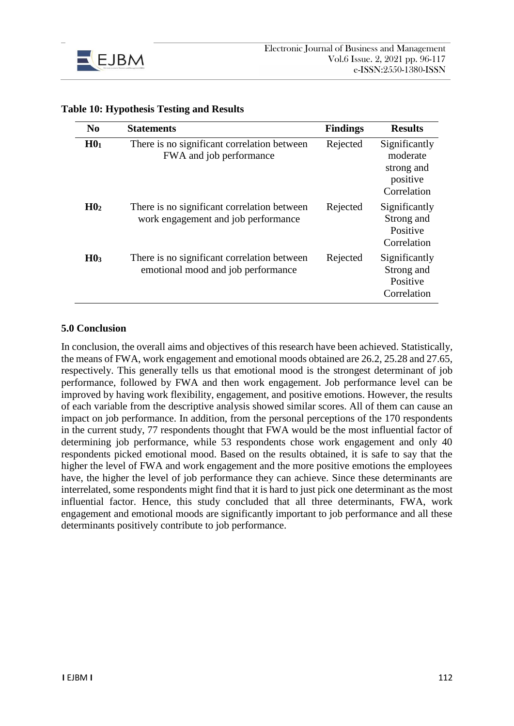

| N <sub>0</sub>  | <b>Statements</b>                                                                  | <b>Findings</b> | <b>Results</b>                                                     |
|-----------------|------------------------------------------------------------------------------------|-----------------|--------------------------------------------------------------------|
| H0 <sub>1</sub> | There is no significant correlation between<br>FWA and job performance             | Rejected        | Significantly<br>moderate<br>strong and<br>positive<br>Correlation |
| H0 <sub>2</sub> | There is no significant correlation between<br>work engagement and job performance | Rejected        | Significantly<br>Strong and<br>Positive<br>Correlation             |
| H0 <sub>3</sub> | There is no significant correlation between<br>emotional mood and job performance  | Rejected        | Significantly<br>Strong and<br>Positive<br>Correlation             |

### **Table 10: Hypothesis Testing and Results**

#### **5.0 Conclusion**

In conclusion, the overall aims and objectives of this research have been achieved. Statistically, the means of FWA, work engagement and emotional moods obtained are 26.2, 25.28 and 27.65, respectively. This generally tells us that emotional mood is the strongest determinant of job performance, followed by FWA and then work engagement. Job performance level can be improved by having work flexibility, engagement, and positive emotions. However, the results of each variable from the descriptive analysis showed similar scores. All of them can cause an impact on job performance. In addition, from the personal perceptions of the 170 respondents in the current study, 77 respondents thought that FWA would be the most influential factor of determining job performance, while 53 respondents chose work engagement and only 40 respondents picked emotional mood. Based on the results obtained, it is safe to say that the higher the level of FWA and work engagement and the more positive emotions the employees have, the higher the level of job performance they can achieve. Since these determinants are interrelated, some respondents might find that it is hard to just pick one determinant as the most influential factor. Hence, this study concluded that all three determinants, FWA, work engagement and emotional moods are significantly important to job performance and all these determinants positively contribute to job performance.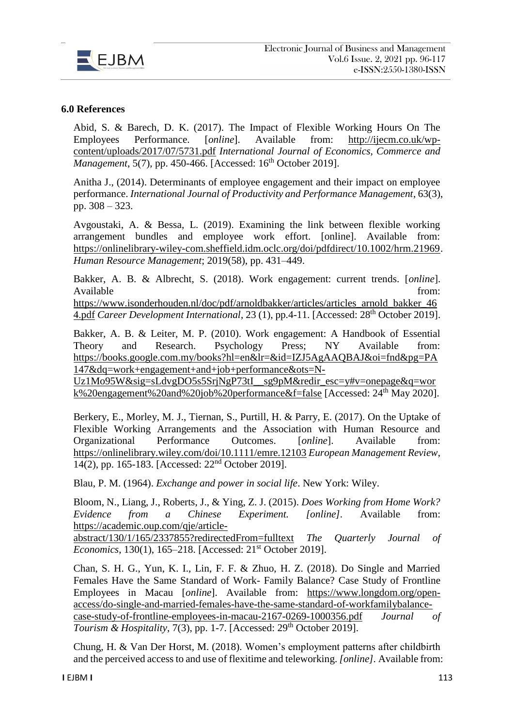

#### **6.0 References**

Abid, S. & Barech, D. K. (2017). The Impact of Flexible Working Hours On The Employees Performance. [*online*]. Available from: [http://ijecm.co.uk/wp](http://ijecm.co.uk/wp-content/uploads/2017/07/5731.pdf)[content/uploads/2017/07/5731.pdf](http://ijecm.co.uk/wp-content/uploads/2017/07/5731.pdf) *International Journal of Economics, Commerce and Management*, 5(7), pp. 450-466. [Accessed: 16<sup>th</sup> October 2019].

Anitha J., (2014). Determinants of employee engagement and their impact on employee performance. *International Journal of Productivity and Performance Management*, 63(3), pp. 308 – 323.

Avgoustaki, A. & Bessa, L. (2019). Examining the link between flexible working arrangement bundles and employee work effort. [online]. Available from: [https://onlinelibrary-wiley-com.sheffield.idm.oclc.org/doi/pdfdirect/10.1002/hrm.21969.](https://onlinelibrary-wiley-com.sheffield.idm.oclc.org/doi/pdfdirect/10.1002/hrm.21969) *Human Resource Management*; 2019(58), pp. 431–449.

Bakker, A. B. & Albrecht, S. (2018). Work engagement: current trends. [*online*]. Available from:  $\blacksquare$ 

[https://www.isonderhouden.nl/doc/pdf/arnoldbakker/articles/articles\\_arnold\\_bakker\\_46](https://www.isonderhouden.nl/doc/pdf/arnoldbakker/articles/articles_arnold_bakker_464.pdf) [4.pdf](https://www.isonderhouden.nl/doc/pdf/arnoldbakker/articles/articles_arnold_bakker_464.pdf) *Career Development International*, 23 (1), pp.4-11. [Accessed: 28th October 2019].

Bakker, A. B. & Leiter, M. P. (2010). Work engagement: A Handbook of Essential Theory and Research. Psychology Press; NY Available from: [https://books.google.com.my/books?hl=en&lr=&id=IZJ5AgAAQBAJ&oi=fnd&pg=PA](https://books.google.com.my/books?hl=en&lr=&id=IZJ5AgAAQBAJ&oi=fnd&pg=PA147&dq=work+engagement+and+job+performance&ots=N-Uz1Mo95W&sig=sLdvgDO5s5SrjNgP73tI__sg9pM&redir_esc=y#v=onepage&q=work%20engagement%20and%20job%20performance&f=false) [147&dq=work+engagement+and+job+performance&ots=N-](https://books.google.com.my/books?hl=en&lr=&id=IZJ5AgAAQBAJ&oi=fnd&pg=PA147&dq=work+engagement+and+job+performance&ots=N-Uz1Mo95W&sig=sLdvgDO5s5SrjNgP73tI__sg9pM&redir_esc=y#v=onepage&q=work%20engagement%20and%20job%20performance&f=false)

[Uz1Mo95W&sig=sLdvgDO5s5SrjNgP73tI\\_\\_sg9pM&redir\\_esc=y#v=onepage&q=wor](https://books.google.com.my/books?hl=en&lr=&id=IZJ5AgAAQBAJ&oi=fnd&pg=PA147&dq=work+engagement+and+job+performance&ots=N-Uz1Mo95W&sig=sLdvgDO5s5SrjNgP73tI__sg9pM&redir_esc=y#v=onepage&q=work%20engagement%20and%20job%20performance&f=false) [k%20engagement%20and%20job%20performance&f=false](https://books.google.com.my/books?hl=en&lr=&id=IZJ5AgAAQBAJ&oi=fnd&pg=PA147&dq=work+engagement+and+job+performance&ots=N-Uz1Mo95W&sig=sLdvgDO5s5SrjNgP73tI__sg9pM&redir_esc=y#v=onepage&q=work%20engagement%20and%20job%20performance&f=false) [Accessed: 24th May 2020].

Berkery, E., Morley, M. J., Tiernan, S., Purtill, H. & Parry, E. (2017). On the Uptake of Flexible Working Arrangements and the Association with Human Resource and Organizational Performance Outcomes. [*online*]. Available from: <https://onlinelibrary.wiley.com/doi/10.1111/emre.12103> *European Management Review*, 14(2), pp. 165-183. [Accessed: 22nd October 2019].

Blau, P. M. (1964). *Exchange and power in social life*. New York: Wiley.

Bloom, N., Liang, J., Roberts, J., & Ying, Z. J. (2015). *Does Working from Home Work? Evidence from a Chinese Experiment. [online].* Available from: [https://academic.oup.com/qje/article-](https://academic.oup.com/qje/article-abstract/130/1/165/2337855?redirectedFrom=fulltext)

[abstract/130/1/165/2337855?redirectedFrom=fulltext](https://academic.oup.com/qje/article-abstract/130/1/165/2337855?redirectedFrom=fulltext) *The Quarterly Journal of Economics*, 130(1), 165-218. [Accessed: 21<sup>st</sup> October 2019].

Chan, S. H. G., Yun, K. I., Lin, F. F. & Zhuo, H. Z. (2018). Do Single and Married Females Have the Same Standard of Work- Family Balance? Case Study of Frontline Employees in Macau [*online*]. Available from: [https://www.longdom.org/open](https://www.longdom.org/open-access/do-single-and-married-females-have-the-same-standard-of-workfamilybalance-case-study-of-frontline-employees-in-macau-2167-0269-1000356.pdf)[access/do-single-and-married-females-have-the-same-standard-of-workfamilybalance](https://www.longdom.org/open-access/do-single-and-married-females-have-the-same-standard-of-workfamilybalance-case-study-of-frontline-employees-in-macau-2167-0269-1000356.pdf)[case-study-of-frontline-employees-in-macau-2167-0269-1000356.pdf](https://www.longdom.org/open-access/do-single-and-married-females-have-the-same-standard-of-workfamilybalance-case-study-of-frontline-employees-in-macau-2167-0269-1000356.pdf) *Journal of Tourism & Hospitality*,  $7(3)$ , pp. 1-7. [Accessed:  $29<sup>th</sup>$  October 2019].

Chung, H. & Van Der Horst, M. (2018). Women's employment patterns after childbirth and the perceived access to and use of flexitime and teleworking. *[online].* Available from: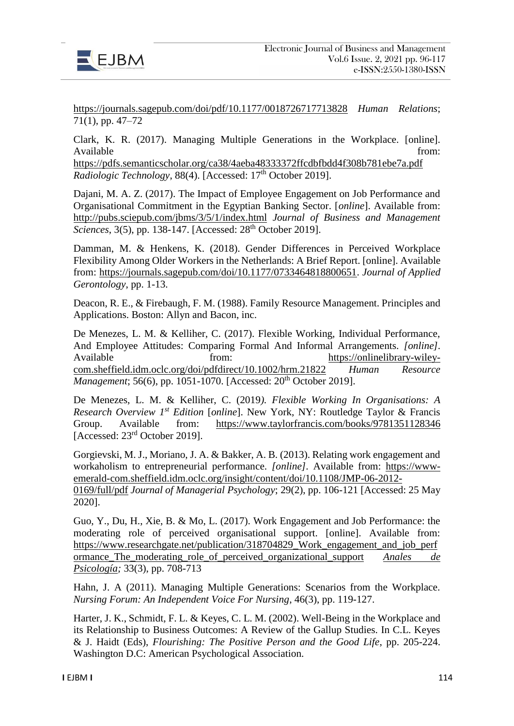

<https://journals.sagepub.com/doi/pdf/10.1177/0018726717713828> *Human Relations*; 71(1), pp. 47–72

Clark, K. R. (2017). Managing Multiple Generations in the Workplace. [online]. Available from:  $\blacksquare$ 

<https://pdfs.semanticscholar.org/ca38/4aeba48333372ffcdbfbdd4f308b781ebe7a.pdf> *Radiologic Technology*, 88(4). [Accessed: 17<sup>th</sup> October 2019].

Dajani, M. A. Z. (2017). The Impact of Employee Engagement on Job Performance and Organisational Commitment in the Egyptian Banking Sector. [*online*]. Available from: <http://pubs.sciepub.com/jbms/3/5/1/index.html> *Journal of Business and Management Sciences*, 3(5), pp. 138-147. [Accessed: 28<sup>th</sup> October 2019].

Damman, M. & Henkens, K. (2018). Gender Differences in Perceived Workplace Flexibility Among Older Workers in the Netherlands: A Brief Report. [online]. Available from: [https://journals.sagepub.com/doi/10.1177/0733464818800651.](https://journals.sagepub.com/doi/10.1177/0733464818800651) *Journal of Applied Gerontology*, pp. 1-13.

Deacon, R. E., & Firebaugh, F. M. (1988). Family Resource Management. Principles and Applications. Boston: Allyn and Bacon, inc.

De Menezes, L. M. & Kelliher, C. (2017). Flexible Working, Individual Performance, And Employee Attitudes: Comparing Formal And Informal Arrangements. *[online].*  Available from: [https://onlinelibrary-wiley](https://onlinelibrary-wiley-com.sheffield.idm.oclc.org/doi/pdfdirect/10.1002/hrm.21822)[com.sheffield.idm.oclc.org/doi/pdfdirect/10.1002/hrm.21822](https://onlinelibrary-wiley-com.sheffield.idm.oclc.org/doi/pdfdirect/10.1002/hrm.21822) *Human Resource Management*; 56(6), pp. 1051-1070. [Accessed: 20<sup>th</sup> October 2019].

De Menezes, L. M. & Kelliher, C. (2019*). Flexible Working In Organisations: A Research Overview 1st Edition* [*online*]. New York, NY: Routledge Taylor & Francis Group. Available from: <https://www.taylorfrancis.com/books/9781351128346> [Accessed: 23rd October 2019].

Gorgievski, M. J., Moriano, J. A. & Bakker, A. B. (2013). Relating work engagement and workaholism to entrepreneurial performance. *[online].* Available from: [https://www](https://www-emerald-com.sheffield.idm.oclc.org/insight/content/doi/10.1108/JMP-06-2012-0169/full/pdf)[emerald-com.sheffield.idm.oclc.org/insight/content/doi/10.1108/JMP-06-2012-](https://www-emerald-com.sheffield.idm.oclc.org/insight/content/doi/10.1108/JMP-06-2012-0169/full/pdf) [0169/full/pdf](https://www-emerald-com.sheffield.idm.oclc.org/insight/content/doi/10.1108/JMP-06-2012-0169/full/pdf) *Journal of Managerial Psychology*; 29(2), pp. 106-121 [Accessed: 25 May 2020].

Guo, Y., Du, H., Xie, B. & Mo, L. (2017). Work Engagement and Job Performance: the moderating role of perceived organisational support. [online]. Available from: [https://www.researchgate.net/publication/318704829\\_Work\\_engagement\\_and\\_job\\_perf](https://www.researchgate.net/publication/318704829_Work_engagement_and_job_performance_The_moderating_role_of_perceived_organizational_support) [ormance\\_The\\_moderating\\_role\\_of\\_perceived\\_organizational\\_support](https://www.researchgate.net/publication/318704829_Work_engagement_and_job_performance_The_moderating_role_of_perceived_organizational_support) *[Anales](https://www.researchgate.net/journal/0212-9728_Anales_de_Psicologia) de [Psicología;](https://www.researchgate.net/journal/0212-9728_Anales_de_Psicologia)* 33(3), pp. 708-713

Hahn, J. A (2011). Managing Multiple Generations: Scenarios from the Workplace. *Nursing Forum: An Independent Voice For Nursing*, 46(3), pp. 119-127.

Harter, J. K., Schmidt, F. L. & Keyes, C. L. M. (2002). Well-Being in the Workplace and its Relationship to Business Outcomes: A Review of the Gallup Studies. In C.L. Keyes & J. Haidt (Eds), *Flourishing: The Positive Person and the Good Life*, pp. 205-224. Washington D.C: American Psychological Association.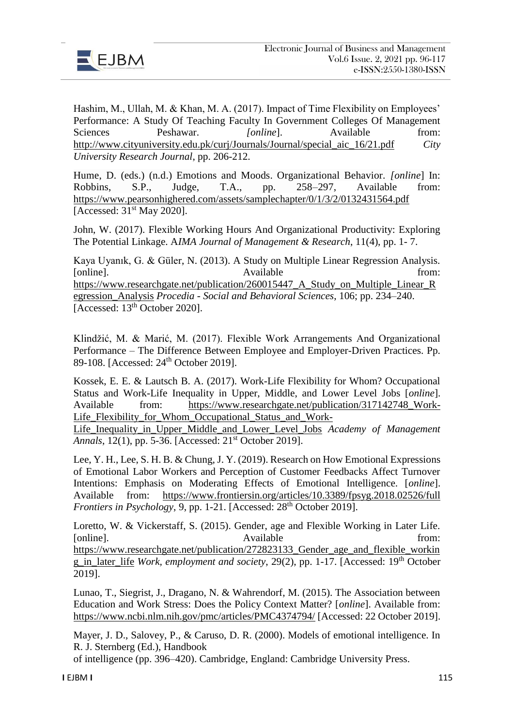

Hashim, M., Ullah, M. & Khan, M. A. (2017). Impact of Time Flexibility on Employees' Performance: A Study Of Teaching Faculty In Government Colleges Of Management Sciences Peshawar. *[online]*. Available from: [http://www.cityuniversity.edu.pk/curj/Journals/Journal/special\\_aic\\_16/21.pdf](http://www.cityuniversity.edu.pk/curj/Journals/Journal/special_aic_16/21.pdf) *City University Research Journal*, pp. 206-212.

Hume, D. (eds.) (n.d.) Emotions and Moods. Organizational Behavior. *[online*] In: Robbins, S.P., Judge, T.A., pp. 258–297, Available from: <https://www.pearsonhighered.com/assets/samplechapter/0/1/3/2/0132431564.pdf> [Accessed: 31<sup>st</sup> May 2020].

John, W. (2017). Flexible Working Hours And Organizational Productivity: Exploring The Potential Linkage. A*IMA Journal of Management & Research*, 11(4), pp. 1- 7.

Kaya Uyanık, G. & Güler, N. (2013). A Study on Multiple Linear Regression Analysis. [online]. Available from: [https://www.researchgate.net/publication/260015447\\_A\\_Study\\_on\\_Multiple\\_Linear\\_R](https://www.researchgate.net/publication/260015447_A_Study_on_Multiple_Linear_Regression_Analysis) [egression\\_Analysis](https://www.researchgate.net/publication/260015447_A_Study_on_Multiple_Linear_Regression_Analysis) *Procedia - Social and Behavioral Sciences*, 106; pp. 234–240. [Accessed: 13<sup>th</sup> October 2020].

Klindžić, M. & Marić, M. (2017). Flexible Work Arrangements And Organizational Performance – The Difference Between Employee and Employer-Driven Practices. Pp. 89-108. [Accessed: 24<sup>th</sup> October 2019].

Kossek, E. E. & Lautsch B. A. (2017). Work-Life Flexibility for Whom? Occupational Status and Work-Life Inequality in Upper, Middle, and Lower Level Jobs [*online*]. Available from: [https://www.researchgate.net/publication/317142748\\_Work-](https://www.researchgate.net/publication/317142748_Work-Life_Flexibility_for_Whom_Occupational_Status_and_Work-Life_Inequality_in_Upper_Middle_and_Lower_Level_Jobs)Life Flexibility for Whom Occupational Status and Work-

[Life\\_Inequality\\_in\\_Upper\\_Middle\\_and\\_Lower\\_Level\\_Jobs](https://www.researchgate.net/publication/317142748_Work-Life_Flexibility_for_Whom_Occupational_Status_and_Work-Life_Inequality_in_Upper_Middle_and_Lower_Level_Jobs) *Academy of Management Annals*, 12(1), pp. 5-36. [Accessed: 21<sup>st</sup> October 2019].

Lee, Y. H., Lee, S. H. B. & Chung, J. Y. (2019). Research on How Emotional Expressions of Emotional Labor Workers and Perception of Customer Feedbacks Affect Turnover Intentions: Emphasis on Moderating Effects of Emotional Intelligence. [*online*]. Available from: <https://www.frontiersin.org/articles/10.3389/fpsyg.2018.02526/full> *Frontiers in Psychology*, 9, pp. 1-21. [Accessed: 28<sup>th</sup> October 2019].

Loretto, W. & Vickerstaff, S. (2015). Gender, age and Flexible Working in Later Life. [online]. Available from: [https://www.researchgate.net/publication/272823133\\_Gender\\_age\\_and\\_flexible\\_workin](https://www.researchgate.net/publication/272823133_Gender_age_and_flexible_working_in_later_life) [g\\_in\\_later\\_life](https://www.researchgate.net/publication/272823133_Gender_age_and_flexible_working_in_later_life) *Work, employment and society*, 29(2), pp. 1-17. [Accessed: 19th October 2019].

Lunao, T., Siegrist, J., Dragano, N. & Wahrendorf, M. (2015). The Association between Education and Work Stress: Does the Policy Context Matter? [*online*]. Available from: <https://www.ncbi.nlm.nih.gov/pmc/articles/PMC4374794/> [Accessed: 22 October 2019].

Mayer, J. D., Salovey, P., & Caruso, D. R. (2000). Models of emotional intelligence. In R. J. Sternberg (Ed.), Handbook

of intelligence (pp. 396–420). Cambridge, England: Cambridge University Press.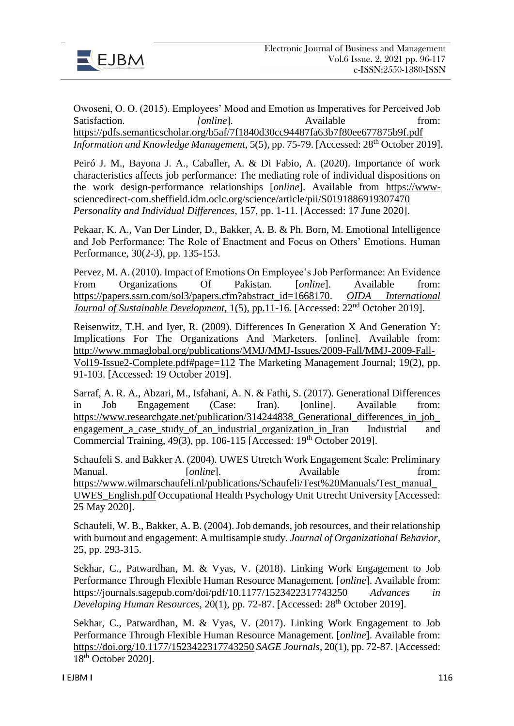

Owoseni, O. O. (2015). Employees' Mood and Emotion as Imperatives for Perceived Job Satisfaction. *<i>[online]*. Available from: <https://pdfs.semanticscholar.org/b5af/7f1840d30cc94487fa63b7f80ee677875b9f.pdf> *Information and Knowledge Management*, 5(5), pp. 75-79. [Accessed: 28<sup>th</sup> October 2019].

Peiró J. M., Bayona J. A., Caballer, A. & Di Fabio, A. (2020). Importance of work characteristics affects job performance: The mediating role of individual dispositions on the work design-performance relationships [*online*]. Available from [https://www](https://www-sciencedirect-com.sheffield.idm.oclc.org/science/article/pii/S0191886919307470)[sciencedirect-com.sheffield.idm.oclc.org/science/article/pii/S0191886919307470](https://www-sciencedirect-com.sheffield.idm.oclc.org/science/article/pii/S0191886919307470) *Personality and Individual Differences*, 157, pp. 1-11. [Accessed: 17 June 2020].

Pekaar, K. A., Van Der Linder, D., Bakker, A. B. & Ph. Born, M. Emotional Intelligence and Job Performance: The Role of Enactment and Focus on Others' Emotions. Human Performance, 30(2-3), pp. 135-153.

Pervez, M. A. (2010). Impact of Emotions On Employee's Job Performance: An Evidence From Organizations Of Pakistan. [*online*]. Available from: [https://papers.ssrn.com/sol3/papers.cfm?abstract\\_id=1668170.](https://papers.ssrn.com/sol3/papers.cfm?abstract_id=1668170) *[OIDA International](https://papers.ssrn.com/sol3/papers.cfm?abstract_id=1668170##)  Journal of Sustainable Development,* 1(5), pp.11-16. [Accessed: 22<sup>nd</sup> October 2019].

Reisenwitz, T.H. and Iyer, R. (2009). Differences In Generation X And Generation Y: Implications For The Organizations And Marketers. [online]. Available from: [http://www.mmaglobal.org/publications/MMJ/MMJ-Issues/2009-Fall/MMJ-2009-Fall-](http://www.mmaglobal.org/publications/MMJ/MMJ-Issues/2009-Fall/MMJ-2009-Fall-Vol19-Issue2-Complete.pdf#page=112)[Vol19-Issue2-Complete.pdf#page=112](http://www.mmaglobal.org/publications/MMJ/MMJ-Issues/2009-Fall/MMJ-2009-Fall-Vol19-Issue2-Complete.pdf#page=112) The Marketing Management Journal; 19(2), pp. 91-103. [Accessed: 19 October 2019].

Sarraf, A. R. A., Abzari, M., Isfahani, A. N. & Fathi, S. (2017). Generational Differences in Job Engagement (Case: Iran). [online]. Available from: https://www.researchgate.net/publication/314244838 Generational differences in job [engagement\\_a\\_case\\_study\\_of\\_an\\_industrial\\_organization\\_in\\_Iran](https://www.researchgate.net/publication/314244838_Generational_differences_in_job_engagement_a_case_study_of_an_industrial_organization_in_Iran) Industrial and Commercial Training, 49(3), pp. 106-115 [Accessed: 19<sup>th</sup> October 2019].

Schaufeli S. and Bakker A. (2004). UWES Utretch Work Engagement Scale: Preliminary Manual. [*online*]. Available from: [https://www.wilmarschaufeli.nl/publications/Schaufeli/Test%20Manuals/Test\\_manual\\_](https://www.wilmarschaufeli.nl/publications/Schaufeli/Test%20Manuals/Test_manual_UWES_English.pdf) [UWES\\_English.pdf](https://www.wilmarschaufeli.nl/publications/Schaufeli/Test%20Manuals/Test_manual_UWES_English.pdf) Occupational Health Psychology Unit Utrecht University [Accessed: 25 May 2020].

Schaufeli, W. B., Bakker, A. B. (2004). Job demands, job resources, and their relationship with burnout and engagement: A multisample study. *Journal of Organizational Behavior*, 25, pp. 293-315.

Sekhar, C., Patwardhan, M. & Vyas, V. (2018). Linking Work Engagement to Job Performance Through Flexible Human Resource Management. [*online*]. Available from: <https://journals.sagepub.com/doi/pdf/10.1177/1523422317743250> *Advances in Developing Human Resources*, 20(1), pp. 72-87. [Accessed: 28<sup>th</sup> October 2019].

Sekhar, C., Patwardhan, M. & Vyas, V. (2017). Linking Work Engagement to Job Performance Through Flexible Human Resource Management. [*online*]. Available from: [https://doi.org/10.1177/1523422317743250](https://doi.org/10.1177%2F1523422317743250) *SAGE Journals*, 20(1), pp. 72-87. [Accessed: 18th October 2020].